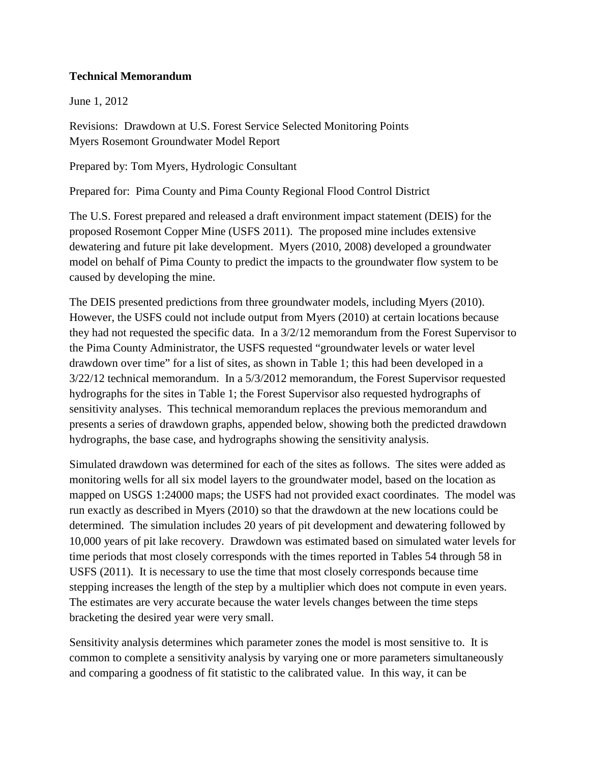### **Technical Memorandum**

June 1, 2012

Revisions: Drawdown at U.S. Forest Service Selected Monitoring Points Myers Rosemont Groundwater Model Report

Prepared by: Tom Myers, Hydrologic Consultant

Prepared for: Pima County and Pima County Regional Flood Control District

The U.S. Forest prepared and released a draft environment impact statement (DEIS) for the proposed Rosemont Copper Mine (USFS 2011). The proposed mine includes extensive dewatering and future pit lake development. Myers (2010, 2008) developed a groundwater model on behalf of Pima County to predict the impacts to the groundwater flow system to be caused by developing the mine.

The DEIS presented predictions from three groundwater models, including Myers (2010). However, the USFS could not include output from Myers (2010) at certain locations because they had not requested the specific data. In a 3/2/12 memorandum from the Forest Supervisor to the Pima County Administrator, the USFS requested "groundwater levels or water level drawdown over time" for a list of sites, as shown in Table 1; this had been developed in a 3/22/12 technical memorandum. In a 5/3/2012 memorandum, the Forest Supervisor requested hydrographs for the sites in Table 1; the Forest Supervisor also requested hydrographs of sensitivity analyses. This technical memorandum replaces the previous memorandum and presents a series of drawdown graphs, appended below, showing both the predicted drawdown hydrographs, the base case, and hydrographs showing the sensitivity analysis.

Simulated drawdown was determined for each of the sites as follows. The sites were added as monitoring wells for all six model layers to the groundwater model, based on the location as mapped on USGS 1:24000 maps; the USFS had not provided exact coordinates. The model was run exactly as described in Myers (2010) so that the drawdown at the new locations could be determined. The simulation includes 20 years of pit development and dewatering followed by 10,000 years of pit lake recovery. Drawdown was estimated based on simulated water levels for time periods that most closely corresponds with the times reported in Tables 54 through 58 in USFS (2011). It is necessary to use the time that most closely corresponds because time stepping increases the length of the step by a multiplier which does not compute in even years. The estimates are very accurate because the water levels changes between the time steps bracketing the desired year were very small.

Sensitivity analysis determines which parameter zones the model is most sensitive to. It is common to complete a sensitivity analysis by varying one or more parameters simultaneously and comparing a goodness of fit statistic to the calibrated value. In this way, it can be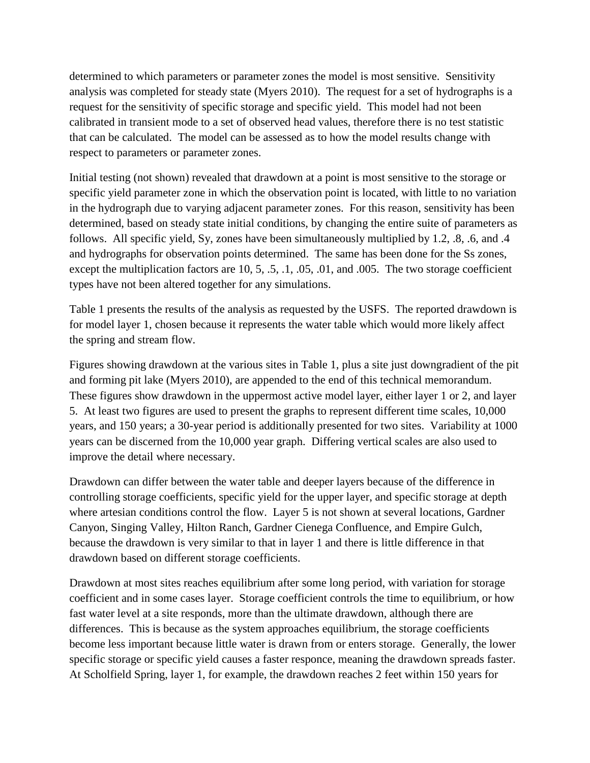determined to which parameters or parameter zones the model is most sensitive. Sensitivity analysis was completed for steady state (Myers 2010). The request for a set of hydrographs is a request for the sensitivity of specific storage and specific yield. This model had not been calibrated in transient mode to a set of observed head values, therefore there is no test statistic that can be calculated. The model can be assessed as to how the model results change with respect to parameters or parameter zones.

Initial testing (not shown) revealed that drawdown at a point is most sensitive to the storage or specific yield parameter zone in which the observation point is located, with little to no variation in the hydrograph due to varying adjacent parameter zones. For this reason, sensitivity has been determined, based on steady state initial conditions, by changing the entire suite of parameters as follows. All specific yield, Sy, zones have been simultaneously multiplied by 1.2, .8, .6, and .4 and hydrographs for observation points determined. The same has been done for the Ss zones, except the multiplication factors are 10, 5, .5, .1, .05, .01, and .005. The two storage coefficient types have not been altered together for any simulations.

Table 1 presents the results of the analysis as requested by the USFS. The reported drawdown is for model layer 1, chosen because it represents the water table which would more likely affect the spring and stream flow.

Figures showing drawdown at the various sites in Table 1, plus a site just downgradient of the pit and forming pit lake (Myers 2010), are appended to the end of this technical memorandum. These figures show drawdown in the uppermost active model layer, either layer 1 or 2, and layer 5. At least two figures are used to present the graphs to represent different time scales, 10,000 years, and 150 years; a 30-year period is additionally presented for two sites. Variability at 1000 years can be discerned from the 10,000 year graph. Differing vertical scales are also used to improve the detail where necessary.

Drawdown can differ between the water table and deeper layers because of the difference in controlling storage coefficients, specific yield for the upper layer, and specific storage at depth where artesian conditions control the flow. Layer 5 is not shown at several locations, Gardner Canyon, Singing Valley, Hilton Ranch, Gardner Cienega Confluence, and Empire Gulch, because the drawdown is very similar to that in layer 1 and there is little difference in that drawdown based on different storage coefficients.

Drawdown at most sites reaches equilibrium after some long period, with variation for storage coefficient and in some cases layer. Storage coefficient controls the time to equilibrium, or how fast water level at a site responds, more than the ultimate drawdown, although there are differences. This is because as the system approaches equilibrium, the storage coefficients become less important because little water is drawn from or enters storage. Generally, the lower specific storage or specific yield causes a faster responce, meaning the drawdown spreads faster. At Scholfield Spring, layer 1, for example, the drawdown reaches 2 feet within 150 years for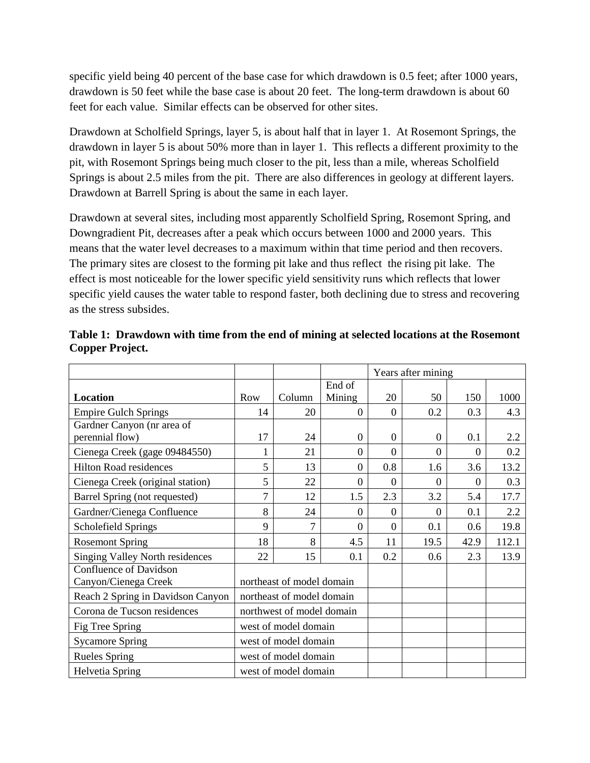specific yield being 40 percent of the base case for which drawdown is 0.5 feet; after 1000 years, drawdown is 50 feet while the base case is about 20 feet. The long-term drawdown is about 60 feet for each value. Similar effects can be observed for other sites.

Drawdown at Scholfield Springs, layer 5, is about half that in layer 1. At Rosemont Springs, the drawdown in layer 5 is about 50% more than in layer 1. This reflects a different proximity to the pit, with Rosemont Springs being much closer to the pit, less than a mile, whereas Scholfield Springs is about 2.5 miles from the pit. There are also differences in geology at different layers. Drawdown at Barrell Spring is about the same in each layer.

Drawdown at several sites, including most apparently Scholfield Spring, Rosemont Spring, and Downgradient Pit, decreases after a peak which occurs between 1000 and 2000 years. This means that the water level decreases to a maximum within that time period and then recovers. The primary sites are closest to the forming pit lake and thus reflect the rising pit lake. The effect is most noticeable for the lower specific yield sensitivity runs which reflects that lower specific yield causes the water table to respond faster, both declining due to stress and recovering as the stress subsides.

|                                        |                           |        |                  | Years after mining |                  |                |       |
|----------------------------------------|---------------------------|--------|------------------|--------------------|------------------|----------------|-------|
|                                        |                           |        | End of           |                    |                  |                |       |
| <b>Location</b>                        | <b>Row</b>                | Column | Mining           | 20                 | 50               | 150            | 1000  |
| <b>Empire Gulch Springs</b>            | 14                        | 20     | $\overline{0}$   | $\overline{0}$     | 0.2              | 0.3            | 4.3   |
| Gardner Canyon (nr area of             |                           |        |                  |                    |                  |                |       |
| perennial flow)                        | 17                        | 24     | $\boldsymbol{0}$ | $\boldsymbol{0}$   | $\theta$         | 0.1            | 2.2   |
| Cienega Creek (gage 09484550)          | $\mathbf{1}$              | 21     | $\boldsymbol{0}$ | $\overline{0}$     | $\overline{0}$   | $\overline{0}$ | 0.2   |
| <b>Hilton Road residences</b>          | 5                         | 13     | $\boldsymbol{0}$ | 0.8                | 1.6              | 3.6            | 13.2  |
| Cienega Creek (original station)       | 5                         | 22     | $\boldsymbol{0}$ | $\theta$           | $\theta$         | $\theta$       | 0.3   |
| Barrel Spring (not requested)          | $\overline{7}$            | 12     | 1.5              | 2.3                | 3.2              | 5.4            | 17.7  |
| Gardner/Cienega Confluence             | 8                         | 24     | 0                | $\boldsymbol{0}$   | $\boldsymbol{0}$ | 0.1            | 2.2   |
| Scholefield Springs                    | 9                         | 7      | $\overline{0}$   | $\overline{0}$     | 0.1              | 0.6            | 19.8  |
| <b>Rosemont Spring</b>                 | 18                        | 8      | 4.5              | 11                 | 19.5             | 42.9           | 112.1 |
| <b>Singing Valley North residences</b> | 22                        | 15     | 0.1              | 0.2                | 0.6              | 2.3            | 13.9  |
| <b>Confluence of Davidson</b>          |                           |        |                  |                    |                  |                |       |
| Canyon/Cienega Creek                   | northeast of model domain |        |                  |                    |                  |                |       |
| Reach 2 Spring in Davidson Canyon      | northeast of model domain |        |                  |                    |                  |                |       |
| Corona de Tucson residences            | northwest of model domain |        |                  |                    |                  |                |       |
| Fig Tree Spring                        | west of model domain      |        |                  |                    |                  |                |       |
| <b>Sycamore Spring</b>                 | west of model domain      |        |                  |                    |                  |                |       |
| <b>Rueles Spring</b>                   | west of model domain      |        |                  |                    |                  |                |       |
| <b>Helvetia Spring</b>                 | west of model domain      |        |                  |                    |                  |                |       |

**Table 1: Drawdown with time from the end of mining at selected locations at the Rosemont Copper Project.**

 $\top$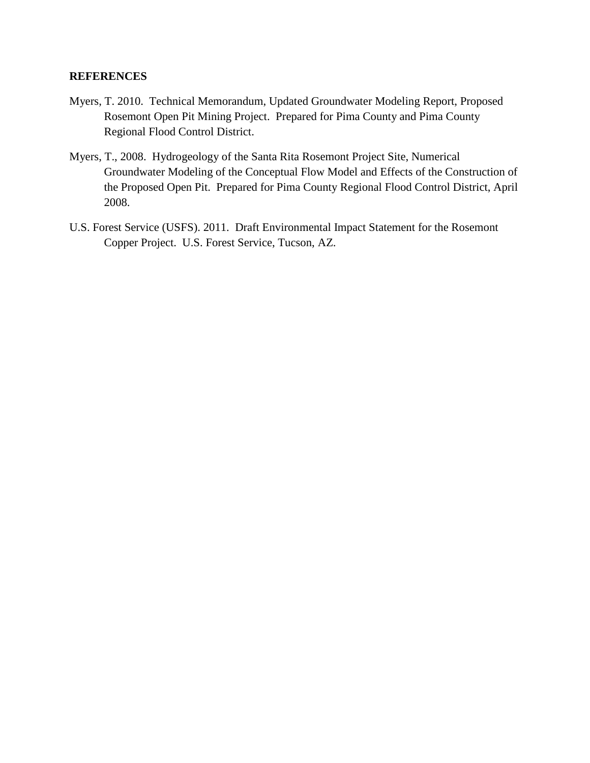### **REFERENCES**

- Myers, T. 2010. Technical Memorandum, Updated Groundwater Modeling Report, Proposed Rosemont Open Pit Mining Project. Prepared for Pima County and Pima County Regional Flood Control District.
- Myers, T., 2008. Hydrogeology of the Santa Rita Rosemont Project Site, Numerical Groundwater Modeling of the Conceptual Flow Model and Effects of the Construction of the Proposed Open Pit. Prepared for Pima County Regional Flood Control District, April 2008.
- U.S. Forest Service (USFS). 2011. Draft Environmental Impact Statement for the Rosemont Copper Project. U.S. Forest Service, Tucson, AZ.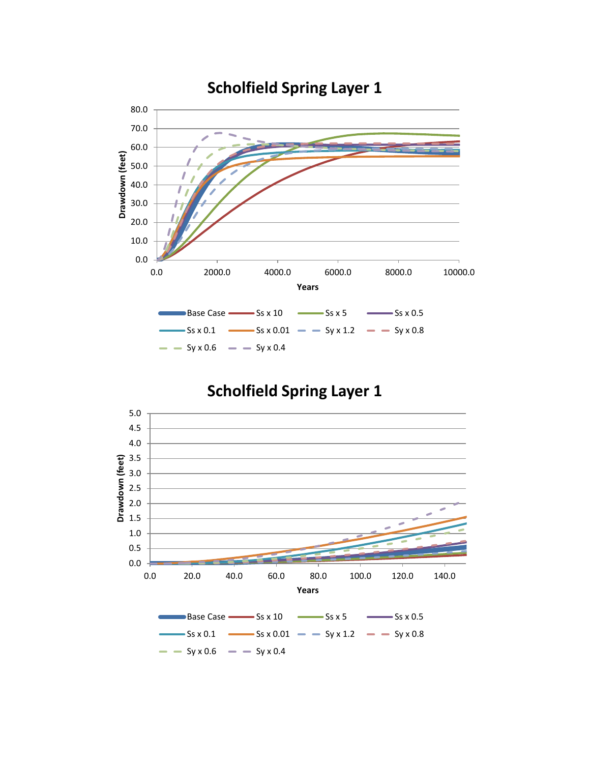

# **Scholfield Spring Layer 1**

# **Scholfield Spring Layer 1**

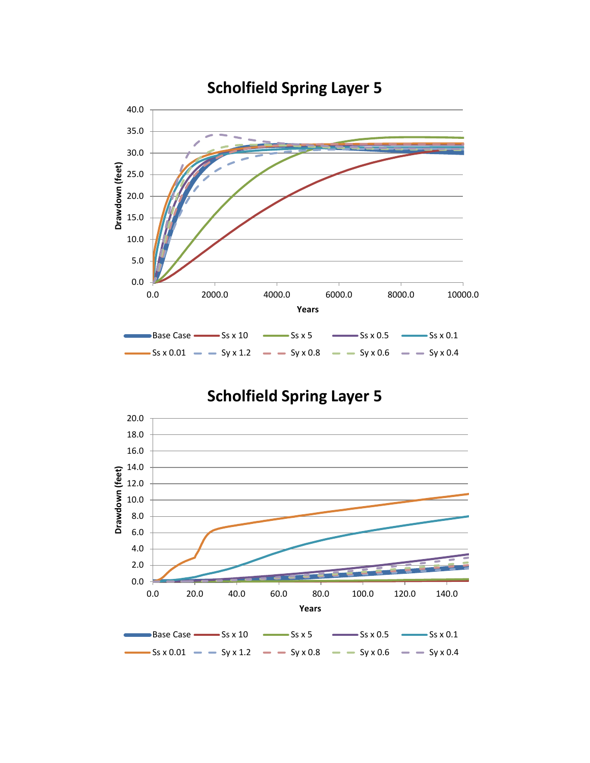

# **Scholfield Spring Layer 5**

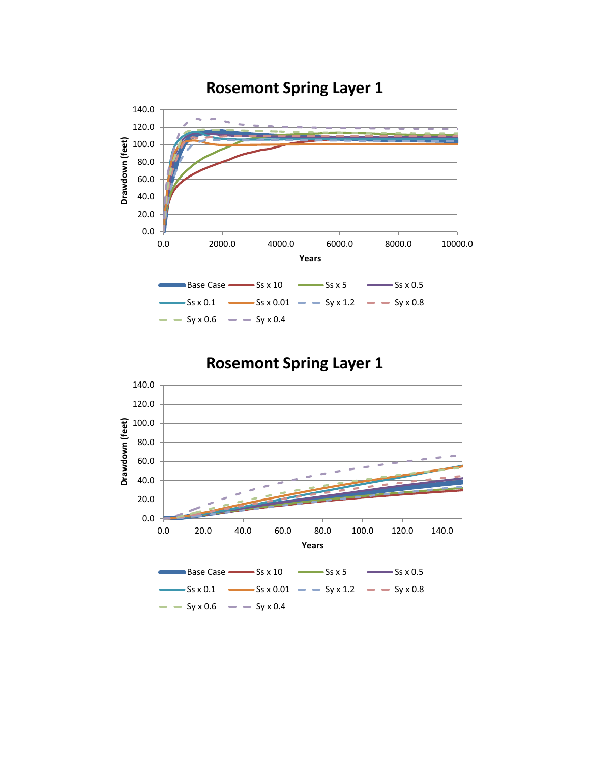

# **Rosemont Spring Layer 1**

# **Rosemont Spring Layer 1**

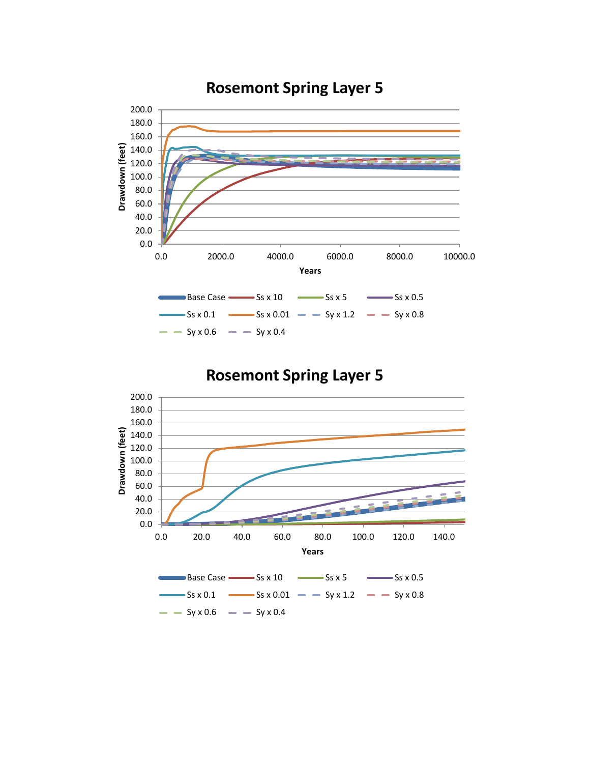

### **Rosemont Spring Layer 5**

**Rosemont Spring Layer 5**

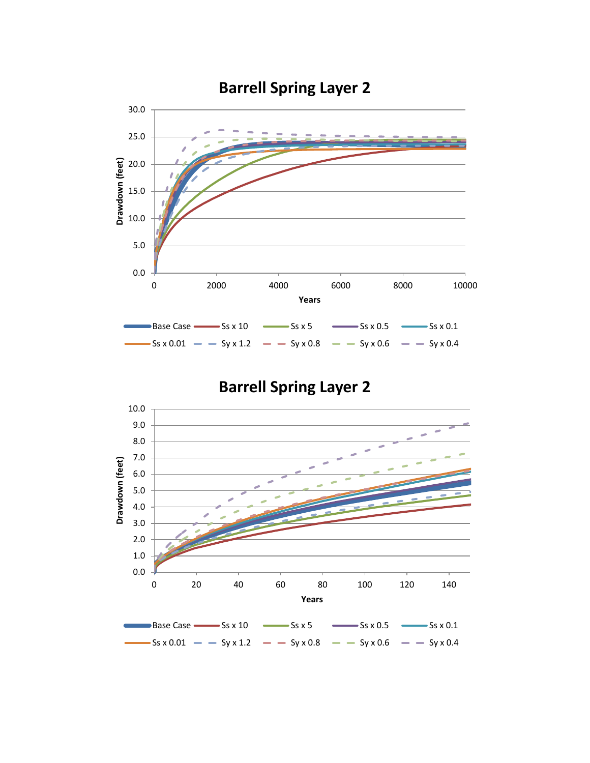

**Barrell Spring Layer 2**

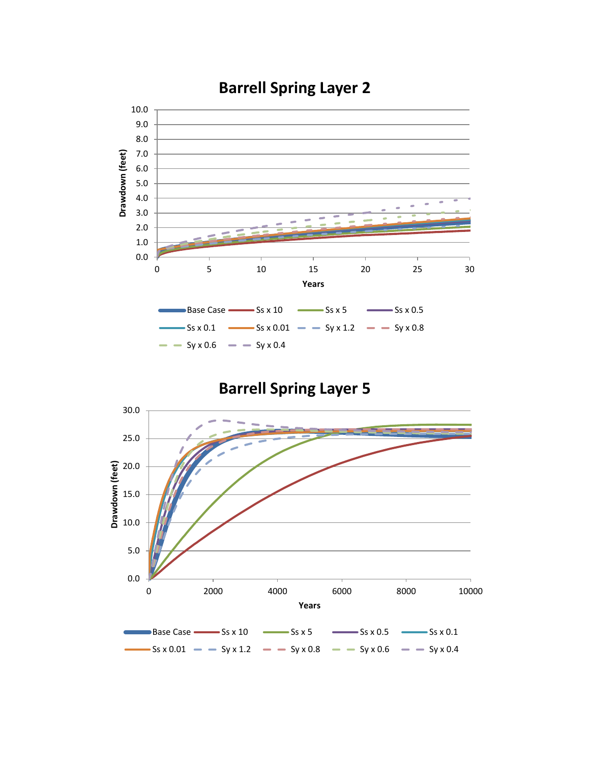

# **Barrell Spring Layer 2**

**Barrell Spring Layer 5**

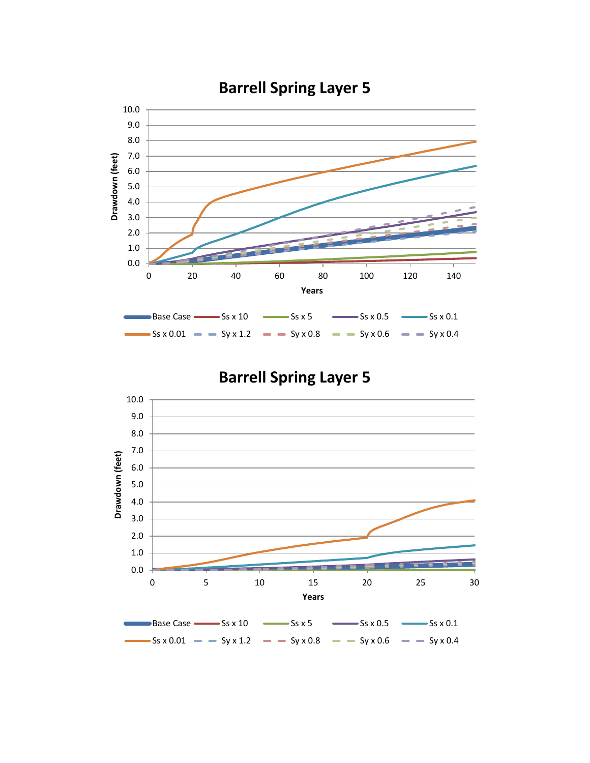

# **Barrell Spring Layer 5**

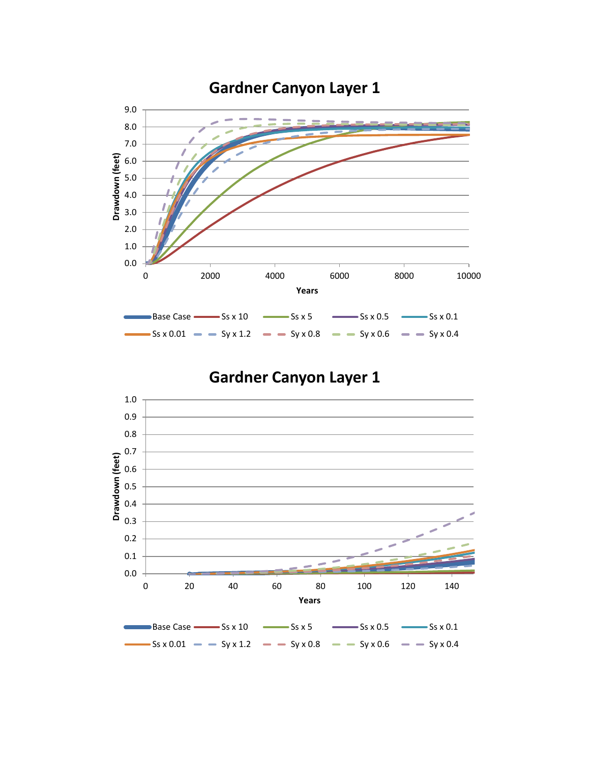

# **Gardner Canyon Layer 1**

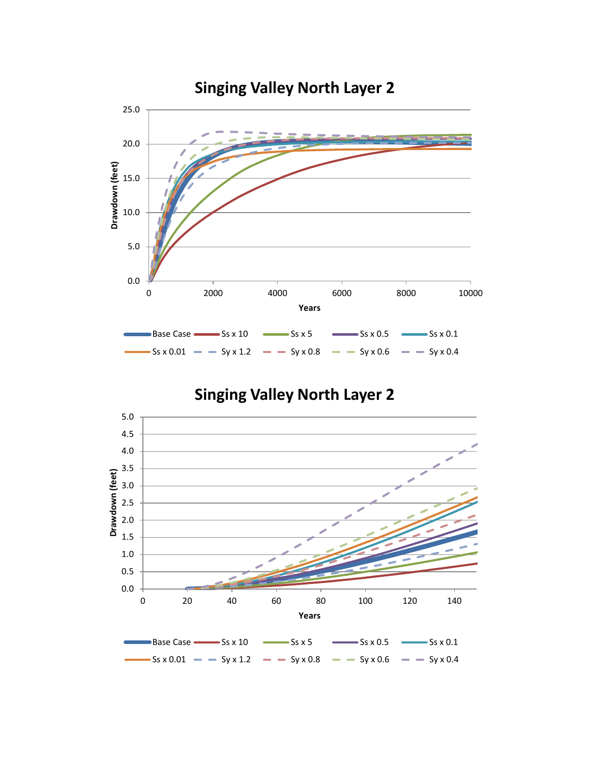

## **Singing Valley North Layer 2**

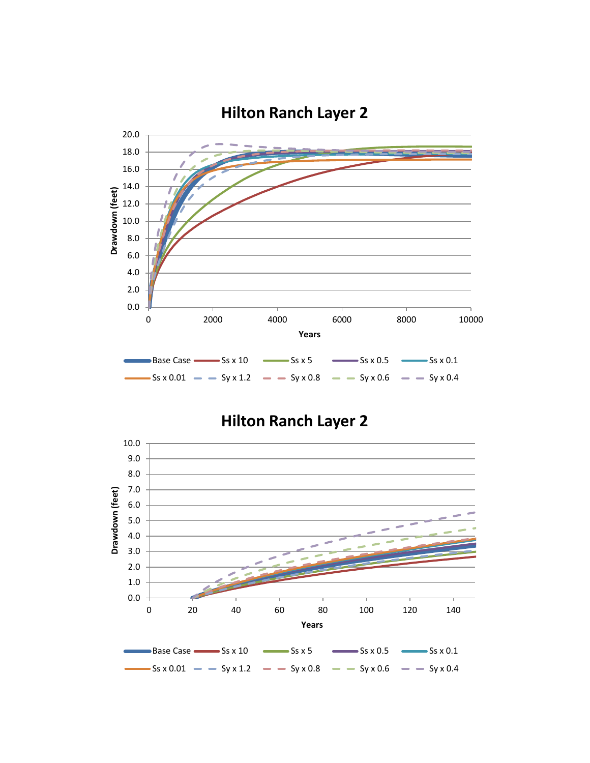

**Hilton Ranch Layer 2**

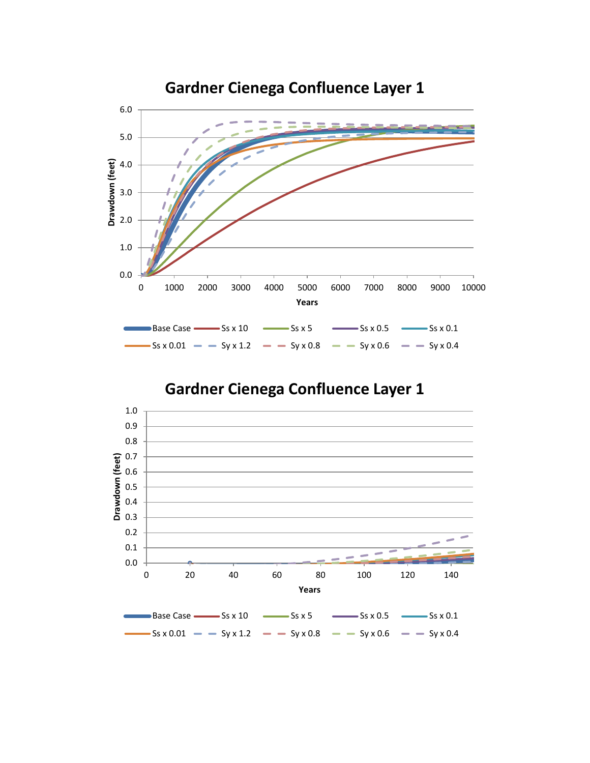

# **Gardner Cienega Confluence Layer 1**

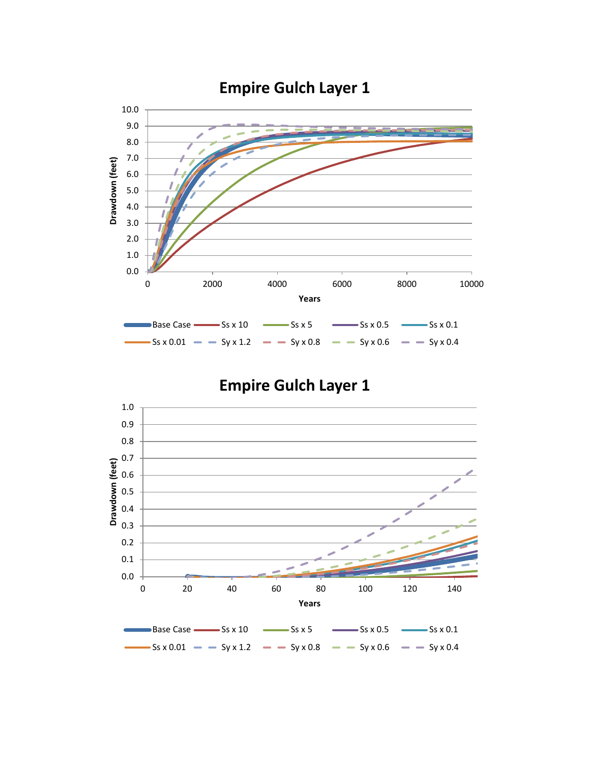

# **Empire Gulch Layer 1**

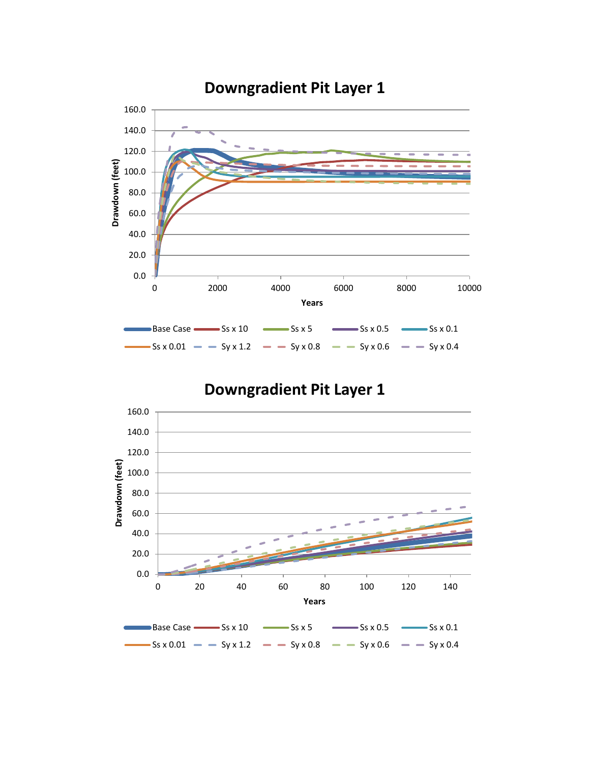

### **Downgradient Pit Layer 1**